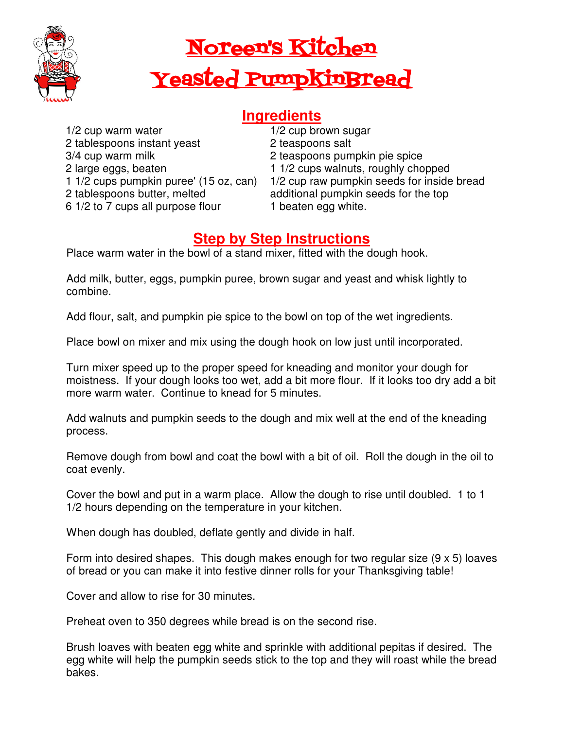

## Noreen's Kitchen Yeasted PumpkinBread

## **Ingredients**

1/2 cup warm water 2 tablespoons instant yeast 3/4 cup warm milk 2 large eggs, beaten 1 1/2 cups pumpkin puree' (15 oz, can) 2 tablespoons butter, melted 6 1/2 to 7 cups all purpose flour

1/2 cup brown sugar 2 teaspoons salt 2 teaspoons pumpkin pie spice 1 1/2 cups walnuts, roughly chopped 1/2 cup raw pumpkin seeds for inside bread additional pumpkin seeds for the top 1 beaten egg white.

## **Step by Step Instructions**

Place warm water in the bowl of a stand mixer, fitted with the dough hook.

Add milk, butter, eggs, pumpkin puree, brown sugar and yeast and whisk lightly to combine.

Add flour, salt, and pumpkin pie spice to the bowl on top of the wet ingredients.

Place bowl on mixer and mix using the dough hook on low just until incorporated.

Turn mixer speed up to the proper speed for kneading and monitor your dough for moistness. If your dough looks too wet, add a bit more flour. If it looks too dry add a bit more warm water. Continue to knead for 5 minutes.

Add walnuts and pumpkin seeds to the dough and mix well at the end of the kneading process.

Remove dough from bowl and coat the bowl with a bit of oil. Roll the dough in the oil to coat evenly.

Cover the bowl and put in a warm place. Allow the dough to rise until doubled. 1 to 1 1/2 hours depending on the temperature in your kitchen.

When dough has doubled, deflate gently and divide in half.

Form into desired shapes. This dough makes enough for two regular size (9 x 5) loaves of bread or you can make it into festive dinner rolls for your Thanksgiving table!

Cover and allow to rise for 30 minutes.

Preheat oven to 350 degrees while bread is on the second rise.

Brush loaves with beaten egg white and sprinkle with additional pepitas if desired. The egg white will help the pumpkin seeds stick to the top and they will roast while the bread bakes.